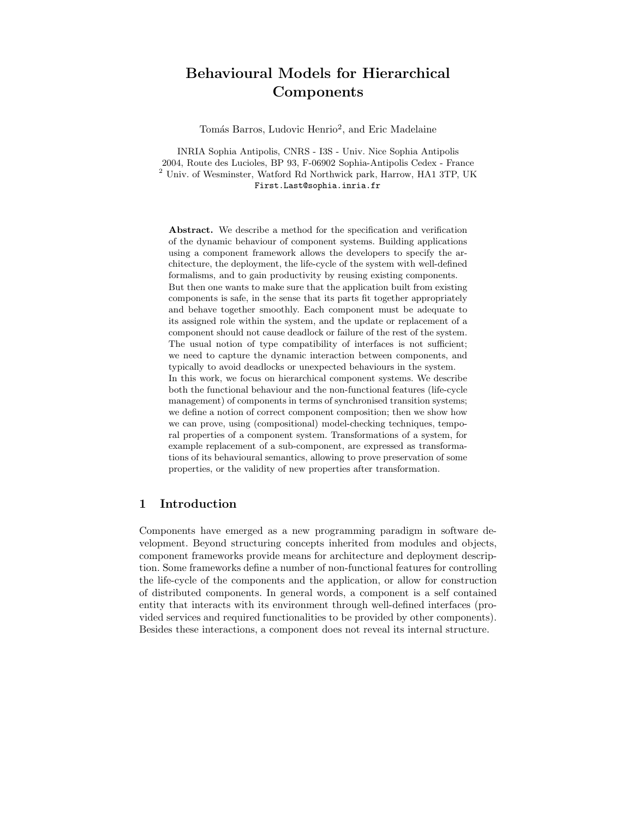# **Behavioural Models for Hierarchical Components**

Tomás Barros, Ludovic Henrio<sup>2</sup>, and Eric Madelaine

INRIA Sophia Antipolis, CNRS - I3S - Univ. Nice Sophia Antipolis 2004, Route des Lucioles, BP 93, F-06902 Sophia-Antipolis Cedex - France  $^{2}$  Univ. of Wesminster, Watford Rd Northwick park, Harrow, HA1 3TP, UK First.Last@sophia.inria.fr

**Abstract.** We describe a method for the specification and verification of the dynamic behaviour of component systems. Building applications using a component framework allows the developers to specify the architecture, the deployment, the life-cycle of the system with well-defined formalisms, and to gain productivity by reusing existing components. But then one wants to make sure that the application built from existing components is safe, in the sense that its parts fit together appropriately and behave together smoothly. Each component must be adequate to its assigned role within the system, and the update or replacement of a component should not cause deadlock or failure of the rest of the system. The usual notion of type compatibility of interfaces is not sufficient; we need to capture the dynamic interaction between components, and typically to avoid deadlocks or unexpected behaviours in the system. In this work, we focus on hierarchical component systems. We describe both the functional behaviour and the non-functional features (life-cycle management) of components in terms of synchronised transition systems; we define a notion of correct component composition; then we show how we can prove, using (compositional) model-checking techniques, temporal properties of a component system. Transformations of a system, for example replacement of a sub-component, are expressed as transformations of its behavioural semantics, allowing to prove preservation of some properties, or the validity of new properties after transformation.

## **1 Introduction**

Components have emerged as a new programming paradigm in software development. Beyond structuring concepts inherited from modules and objects, component frameworks provide means for architecture and deployment description. Some frameworks define a number of non-functional features for controlling the life-cycle of the components and the application, or allow for construction of distributed components. In general words, a component is a self contained entity that interacts with its environment through well-defined interfaces (provided services and required functionalities to be provided by other components). Besides these interactions, a component does not reveal its internal structure.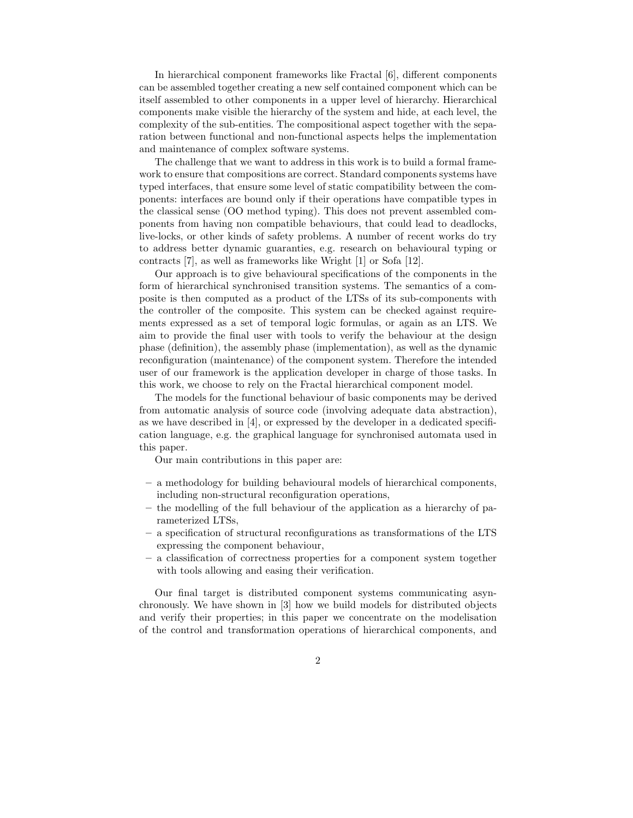In hierarchical component frameworks like Fractal [6], different components can be assembled together creating a new self contained component which can be itself assembled to other components in a upper level of hierarchy. Hierarchical components make visible the hierarchy of the system and hide, at each level, the complexity of the sub-entities. The compositional aspect together with the separation between functional and non-functional aspects helps the implementation and maintenance of complex software systems.

The challenge that we want to address in this work is to build a formal framework to ensure that compositions are correct. Standard components systems have typed interfaces, that ensure some level of static compatibility between the components: interfaces are bound only if their operations have compatible types in the classical sense (OO method typing). This does not prevent assembled components from having non compatible behaviours, that could lead to deadlocks, live-locks, or other kinds of safety problems. A number of recent works do try to address better dynamic guaranties, e.g. research on behavioural typing or contracts [7], as well as frameworks like Wright [1] or Sofa [12].

Our approach is to give behavioural specifications of the components in the form of hierarchical synchronised transition systems. The semantics of a composite is then computed as a product of the LTSs of its sub-components with the controller of the composite. This system can be checked against requirements expressed as a set of temporal logic formulas, or again as an LTS. We aim to provide the final user with tools to verify the behaviour at the design phase (definition), the assembly phase (implementation), as well as the dynamic reconfiguration (maintenance) of the component system. Therefore the intended user of our framework is the application developer in charge of those tasks. In this work, we choose to rely on the Fractal hierarchical component model.

The models for the functional behaviour of basic components may be derived from automatic analysis of source code (involving adequate data abstraction), as we have described in [4], or expressed by the developer in a dedicated specification language, e.g. the graphical language for synchronised automata used in this paper.

Our main contributions in this paper are:

- **–** a methodology for building behavioural models of hierarchical components, including non-structural reconfiguration operations,
- **–** the modelling of the full behaviour of the application as a hierarchy of parameterized LTSs,
- **–** a specification of structural reconfigurations as transformations of the LTS expressing the component behaviour,
- **–** a classification of correctness properties for a component system together with tools allowing and easing their verification.

Our final target is distributed component systems communicating asynchronously. We have shown in [3] how we build models for distributed objects and verify their properties; in this paper we concentrate on the modelisation of the control and transformation operations of hierarchical components, and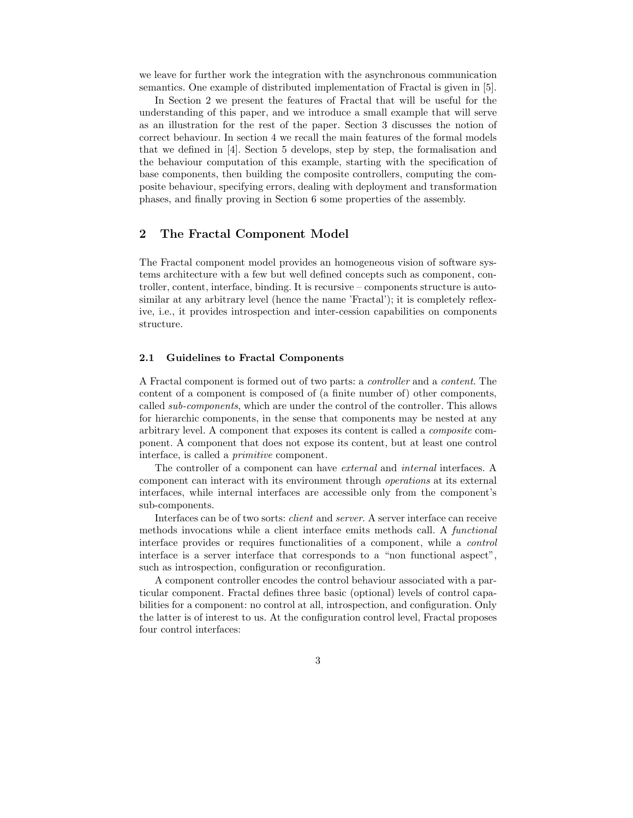we leave for further work the integration with the asynchronous communication semantics. One example of distributed implementation of Fractal is given in [5].

In Section 2 we present the features of Fractal that will be useful for the understanding of this paper, and we introduce a small example that will serve as an illustration for the rest of the paper. Section 3 discusses the notion of correct behaviour. In section 4 we recall the main features of the formal models that we defined in [4]. Section 5 develops, step by step, the formalisation and the behaviour computation of this example, starting with the specification of base components, then building the composite controllers, computing the composite behaviour, specifying errors, dealing with deployment and transformation phases, and finally proving in Section 6 some properties of the assembly.

## **2 The Fractal Component Model**

The Fractal component model provides an homogeneous vision of software systems architecture with a few but well defined concepts such as component, controller, content, interface, binding. It is recursive – components structure is autosimilar at any arbitrary level (hence the name 'Fractal'); it is completely reflexive, i.e., it provides introspection and inter-cession capabilities on components structure.

#### **2.1 Guidelines to Fractal Components**

A Fractal component is formed out of two parts: a *controller* and a *content*. The content of a component is composed of (a finite number of) other components, called *sub-components*, which are under the control of the controller. This allows for hierarchic components, in the sense that components may be nested at any arbitrary level. A component that exposes its content is called a *composite* component. A component that does not expose its content, but at least one control interface, is called a *primitive* component.

The controller of a component can have *external* and *internal* interfaces. A component can interact with its environment through *operations* at its external interfaces, while internal interfaces are accessible only from the component's sub-components.

Interfaces can be of two sorts: *client* and *server*. A server interface can receive methods invocations while a client interface emits methods call. A *functional* interface provides or requires functionalities of a component, while a *control* interface is a server interface that corresponds to a "non functional aspect", such as introspection, configuration or reconfiguration.

A component controller encodes the control behaviour associated with a particular component. Fractal defines three basic (optional) levels of control capabilities for a component: no control at all, introspection, and configuration. Only the latter is of interest to us. At the configuration control level, Fractal proposes four control interfaces: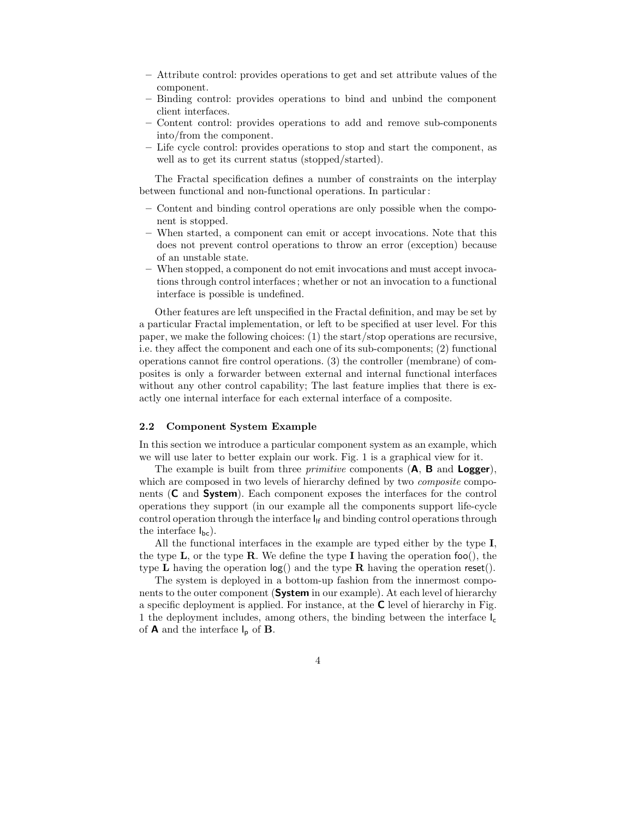- **–** Attribute control: provides operations to get and set attribute values of the component.
- **–** Binding control: provides operations to bind and unbind the component client interfaces.
- **–** Content control: provides operations to add and remove sub-components into/from the component.
- **–** Life cycle control: provides operations to stop and start the component, as well as to get its current status (stopped/started).

The Fractal specification defines a number of constraints on the interplay between functional and non-functional operations. In particular :

- **–** Content and binding control operations are only possible when the component is stopped.
- **–** When started, a component can emit or accept invocations. Note that this does not prevent control operations to throw an error (exception) because of an unstable state.
- **–** When stopped, a component do not emit invocations and must accept invocations through control interfaces ; whether or not an invocation to a functional interface is possible is undefined.

Other features are left unspecified in the Fractal definition, and may be set by a particular Fractal implementation, or left to be specified at user level. For this paper, we make the following choices: (1) the start/stop operations are recursive, i.e. they affect the component and each one of its sub-components; (2) functional operations cannot fire control operations. (3) the controller (membrane) of composites is only a forwarder between external and internal functional interfaces without any other control capability; The last feature implies that there is exactly one internal interface for each external interface of a composite.

#### **2.2 Component System Example**

In this section we introduce a particular component system as an example, which we will use later to better explain our work. Fig. 1 is a graphical view for it.

The example is built from three *primitive* components (**A**, **B** and **Logger**), which are composed in two levels of hierarchy defined by two *composite* components (**C** and **System**). Each component exposes the interfaces for the control operations they support (in our example all the components support life-cycle control operation through the interface  $I_{\text{lf}}$  and binding control operations through the interface  $I_{bc}$ ).

All the functional interfaces in the example are typed either by the type **I**, the type **L**, or the type **R**. We define the type **I** having the operation foo(), the type **L** having the operation log() and the type **R** having the operation reset().

The system is deployed in a bottom-up fashion from the innermost components to the outer component (**System** in our example). At each level of hierarchy a specific deployment is applied. For instance, at the **C** level of hierarchy in Fig. 1 the deployment includes, among others, the binding between the interface <sup>I</sup>c of **A** and the interface  $I_p$  of **B**.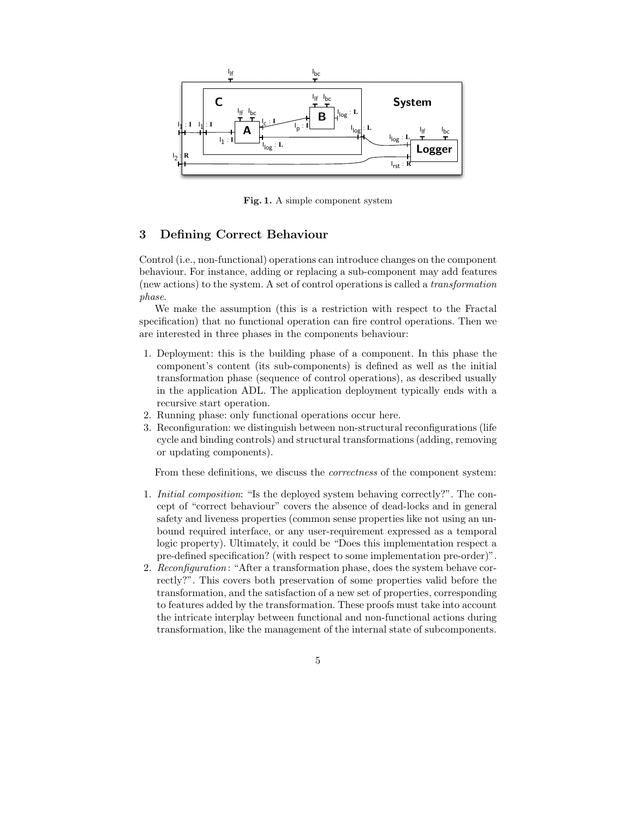

**Fig. 1.** A simple component system

### **3 Defining Correct Behaviour**

Control (i.e., non-functional) operations can introduce changes on the component behaviour. For instance, adding or replacing a sub-component may add features (new actions) to the system. A set of control operations is called a *transformation phase*.

We make the assumption (this is a restriction with respect to the Fractal specification) that no functional operation can fire control operations. Then we are interested in three phases in the components behaviour:

- 1. Deployment: this is the building phase of a component. In this phase the component's content (its sub-components) is defined as well as the initial transformation phase (sequence of control operations), as described usually in the application ADL. The application deployment typically ends with a recursive start operation.
- 2. Running phase: only functional operations occur here.
- 3. Reconfiguration: we distinguish between non-structural reconfigurations (life cycle and binding controls) and structural transformations (adding, removing or updating components).

From these definitions, we discuss the *correctness* of the component system:

- 1. *Initial composition*: "Is the deployed system behaving correctly?". The concept of "correct behaviour" covers the absence of dead-locks and in general safety and liveness properties (common sense properties like not using an unbound required interface, or any user-requirement expressed as a temporal logic property). Ultimately, it could be "Does this implementation respect a pre-defined specification? (with respect to some implementation pre-order)".
- 2. *Reconfiguration* : "After a transformation phase, does the system behave correctly?". This covers both preservation of some properties valid before the transformation, and the satisfaction of a new set of properties, corresponding to features added by the transformation. These proofs must take into account the intricate interplay between functional and non-functional actions during transformation, like the management of the internal state of subcomponents.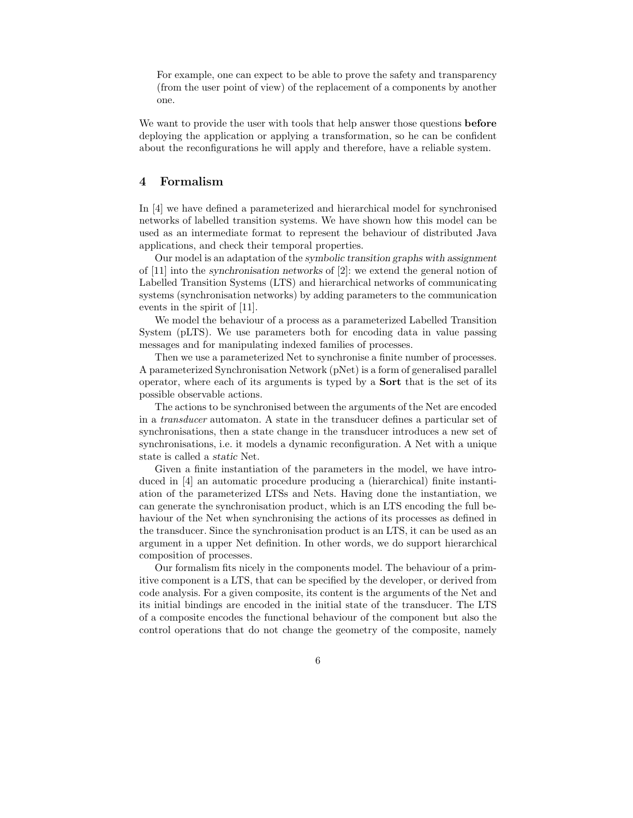For example, one can expect to be able to prove the safety and transparency (from the user point of view) of the replacement of a components by another one.

We want to provide the user with tools that help answer those questions **before** deploying the application or applying a transformation, so he can be confident about the reconfigurations he will apply and therefore, have a reliable system.

## **4 Formalism**

In [4] we have defined a parameterized and hierarchical model for synchronised networks of labelled transition systems. We have shown how this model can be used as an intermediate format to represent the behaviour of distributed Java applications, and check their temporal properties.

Our model is an adaptation of the *symbolic transition graphs with assignment* of [11] into the *synchronisation networks* of [2]: we extend the general notion of Labelled Transition Systems (LTS) and hierarchical networks of communicating systems (synchronisation networks) by adding parameters to the communication events in the spirit of [11].

We model the behaviour of a process as a parameterized Labelled Transition System (pLTS). We use parameters both for encoding data in value passing messages and for manipulating indexed families of processes.

Then we use a parameterized Net to synchronise a finite number of processes. A parameterized Synchronisation Network (pNet) is a form of generalised parallel operator, where each of its arguments is typed by a **Sort** that is the set of its possible observable actions.

The actions to be synchronised between the arguments of the Net are encoded in a *transducer* automaton. A state in the transducer defines a particular set of synchronisations, then a state change in the transducer introduces a new set of synchronisations, i.e. it models a dynamic reconfiguration. A Net with a unique state is called a *static* Net.

Given a finite instantiation of the parameters in the model, we have introduced in [4] an automatic procedure producing a (hierarchical) finite instantiation of the parameterized LTSs and Nets. Having done the instantiation, we can generate the synchronisation product, which is an LTS encoding the full behaviour of the Net when synchronising the actions of its processes as defined in the transducer. Since the synchronisation product is an LTS, it can be used as an argument in a upper Net definition. In other words, we do support hierarchical composition of processes.

Our formalism fits nicely in the components model. The behaviour of a primitive component is a LTS, that can be specified by the developer, or derived from code analysis. For a given composite, its content is the arguments of the Net and its initial bindings are encoded in the initial state of the transducer. The LTS of a composite encodes the functional behaviour of the component but also the control operations that do not change the geometry of the composite, namely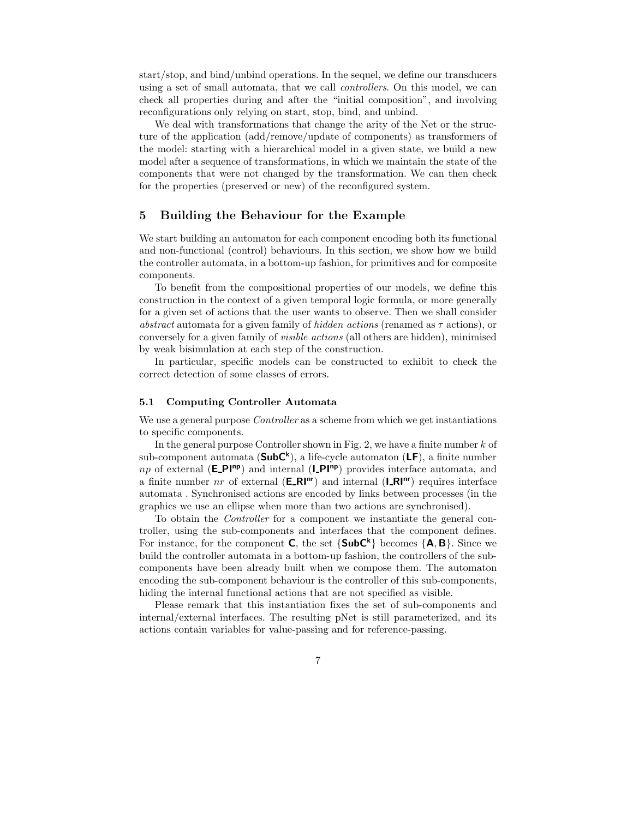start/stop, and bind/unbind operations. In the sequel, we define our transducers using a set of small automata, that we call *controllers*. On this model, we can check all properties during and after the "initial composition", and involving reconfigurations only relying on start, stop, bind, and unbind.

We deal with transformations that change the arity of the Net or the structure of the application (add/remove/update of components) as transformers of the model: starting with a hierarchical model in a given state, we build a new model after a sequence of transformations, in which we maintain the state of the components that were not changed by the transformation. We can then check for the properties (preserved or new) of the reconfigured system.

## **5 Building the Behaviour for the Example**

We start building an automaton for each component encoding both its functional and non-functional (control) behaviours. In this section, we show how we build the controller automata, in a bottom-up fashion, for primitives and for composite components.

To benefit from the compositional properties of our models, we define this construction in the context of a given temporal logic formula, or more generally for a given set of actions that the user wants to observe. Then we shall consider *abstract* automata for a given family of *hidden actions* (renamed as  $\tau$  actions), or conversely for a given family of *visible actions* (all others are hidden), minimised by weak bisimulation at each step of the construction.

In particular, specific models can be constructed to exhibit to check the correct detection of some classes of errors.

#### **5.1 Computing Controller Automata**

We use a general purpose *Controller* as a scheme from which we get instantiations to specific components.

In the general purpose Controller shown in Fig. 2, we have a finite number  $k$  of sub-component automata (**SubCk**), a life-cycle automaton (**LF**), a finite number np of external (**E PInp**) and internal (**I PInp**) provides interface automata, and a finite number nr of external (**E RInr**) and internal (**I RInr**) requires interface automata . Synchronised actions are encoded by links between processes (in the graphics we use an ellipse when more than two actions are synchronised).

To obtain the *Controller* for a component we instantiate the general controller, using the sub-components and interfaces that the component defines. For instance, for the component **C**, the set  $\{SubC^k\}$  becomes  $\{A, B\}$ . Since we build the controller automata in a bottom-up fashion, the controllers of the subcomponents have been already built when we compose them. The automaton encoding the sub-component behaviour is the controller of this sub-components, hiding the internal functional actions that are not specified as visible.

Please remark that this instantiation fixes the set of sub-components and internal/external interfaces. The resulting pNet is still parameterized, and its actions contain variables for value-passing and for reference-passing.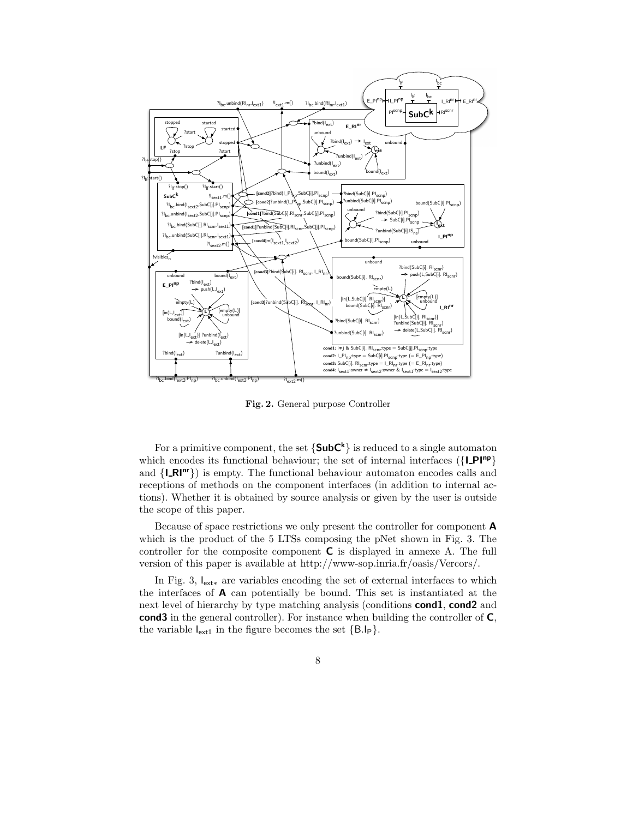

**Fig. 2.** General purpose Controller

For a primitive component, the set {**SubCk**} is reduced to a single automaton which encodes its functional behaviour; the set of internal interfaces ({**<sup>I</sup> PInp**} and {**<sup>I</sup> RInr**}) is empty. The functional behaviour automaton encodes calls and receptions of methods on the component interfaces (in addition to internal actions). Whether it is obtained by source analysis or given by the user is outside the scope of this paper.

Because of space restrictions we only present the controller for component **A** which is the product of the 5 LTSs composing the pNet shown in Fig. 3. The controller for the composite component **C** is displayed in annexe A. The full version of this paper is available at http://www-sop.inria.fr/oasis/Vercors/.

In Fig. 3, <sup>I</sup>ext<sup>∗</sup> are variables encoding the set of external interfaces to which the interfaces of **A** can potentially be bound. This set is instantiated at the next level of hierarchy by type matching analysis (conditions **cond1**, **cond2** and **cond3** in the general controller). For instance when building the controller of **C**, the variable  $I_{ext1}$  in the figure becomes the set  $\{B.I_P\}$ .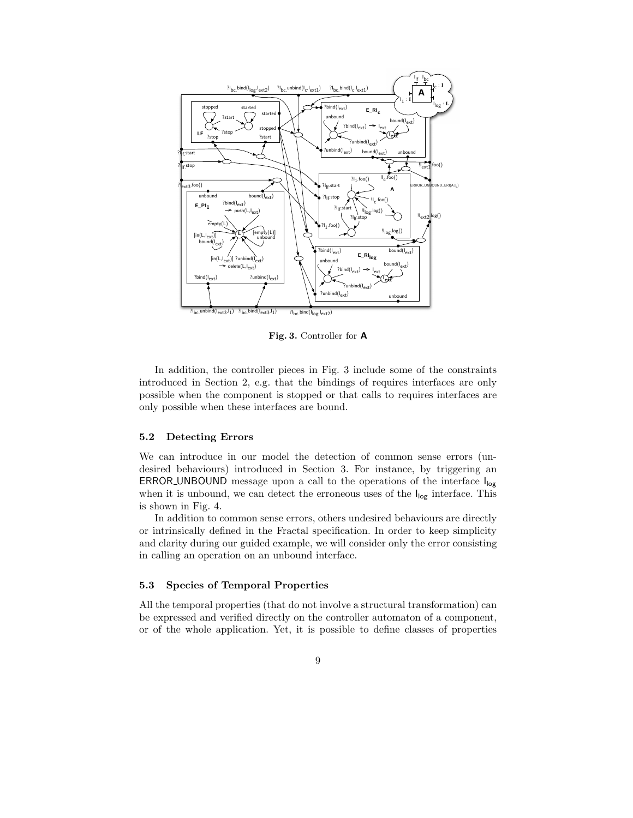

**Fig. 3.** Controller for **<sup>A</sup>**

In addition, the controller pieces in Fig. 3 include some of the constraints introduced in Section 2, e.g. that the bindings of requires interfaces are only possible when the component is stopped or that calls to requires interfaces are only possible when these interfaces are bound.

## **5.2 Detecting Errors**

We can introduce in our model the detection of common sense errors (undesired behaviours) introduced in Section 3. For instance, by triggering an **ERROR UNBOUND** message upon a call to the operations of the interface  $I_{log}$ when it is unbound, we can detect the erroneous uses of the  $I<sub>log</sub>$  interface. This is shown in Fig. 4.

In addition to common sense errors, others undesired behaviours are directly or intrinsically defined in the Fractal specification. In order to keep simplicity and clarity during our guided example, we will consider only the error consisting in calling an operation on an unbound interface.

#### **5.3 Species of Temporal Properties**

All the temporal properties (that do not involve a structural transformation) can be expressed and verified directly on the controller automaton of a component, or of the whole application. Yet, it is possible to define classes of properties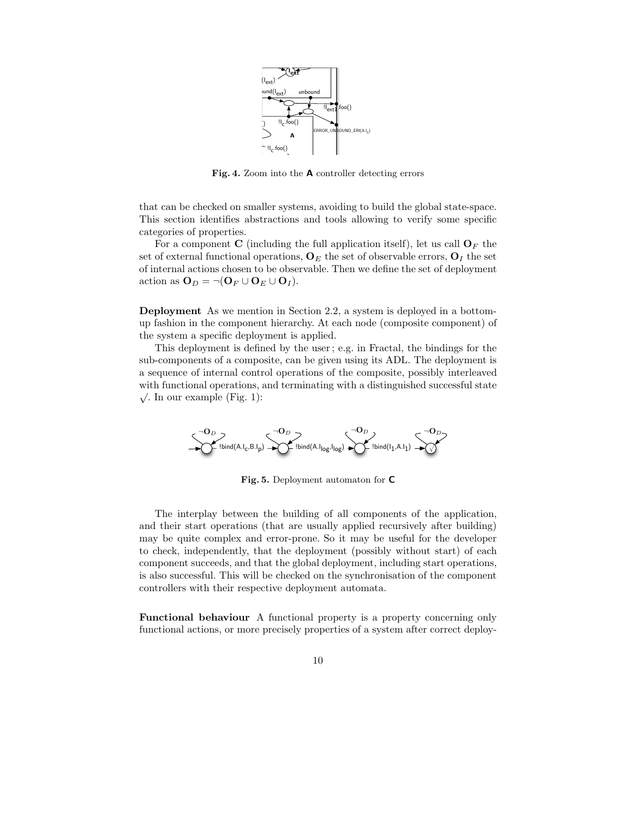

**Fig. 4.** Zoom into the **<sup>A</sup>** controller detecting errors

that can be checked on smaller systems, avoiding to build the global state-space. This section identifies abstractions and tools allowing to verify some specific categories of properties.

For a component **C** (including the full application itself), let us call  $O_F$  the set of external functional operations,  $O_E$  the set of observable errors,  $O_I$  the set of internal actions chosen to be observable. Then we define the set of deployment action as  $\mathbf{O}_D = \neg(\mathbf{O}_F \cup \mathbf{O}_E \cup \mathbf{O}_I).$ 

**Deployment** As we mention in Section 2.2, a system is deployed in a bottomup fashion in the component hierarchy. At each node (composite component) of the system a specific deployment is applied.

This deployment is defined by the user ; e.g. in Fractal, the bindings for the sub-components of a composite, can be given using its ADL. The deployment is a sequence of internal control operations of the composite, possibly interleaved with functional operations, and terminating with a distinguished successful state  $\sqrt{ }$ . In our example (Fig. 1):

$$
\underbrace{\text{SVD}}_{\text{1bind}(A.I_c,B.I_p)}\underbrace{\text{SVD}}_{\text{2nd}(A.I_{log}.I_{log})}\underbrace{\text{SVD}}_{\text{3nd}(I_1,A.I_1)}\underbrace{\text{SVD}}_{\text{4nd}(I_1,A.I_1)}\underbrace{\text{SVD}}_{\text{4nd}(I_2,A.I_2)}.
$$

**Fig. 5.** Deployment automaton for **<sup>C</sup>**

The interplay between the building of all components of the application, and their start operations (that are usually applied recursively after building) may be quite complex and error-prone. So it may be useful for the developer to check, independently, that the deployment (possibly without start) of each component succeeds, and that the global deployment, including start operations, is also successful. This will be checked on the synchronisation of the component controllers with their respective deployment automata.

**Functional behaviour** A functional property is a property concerning only functional actions, or more precisely properties of a system after correct deploy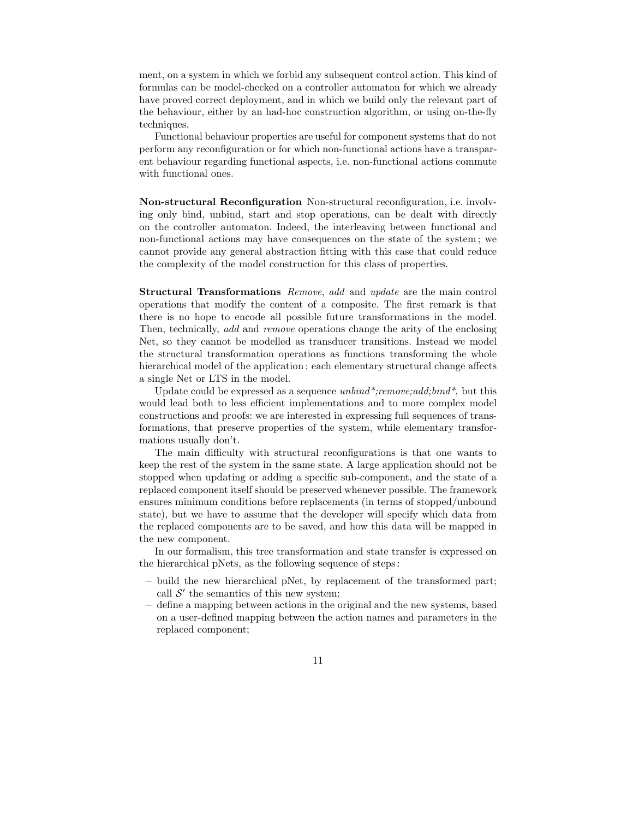ment, on a system in which we forbid any subsequent control action. This kind of formulas can be model-checked on a controller automaton for which we already have proved correct deployment, and in which we build only the relevant part of the behaviour, either by an had-hoc construction algorithm, or using on-the-fly techniques.

Functional behaviour properties are useful for component systems that do not perform any reconfiguration or for which non-functional actions have a transparent behaviour regarding functional aspects, i.e. non-functional actions commute with functional ones.

**Non-structural Reconfiguration** Non-structural reconfiguration, i.e. involving only bind, unbind, start and stop operations, can be dealt with directly on the controller automaton. Indeed, the interleaving between functional and non-functional actions may have consequences on the state of the system ; we cannot provide any general abstraction fitting with this case that could reduce the complexity of the model construction for this class of properties.

**Structural Transformations** *Remove*, *add* and *update* are the main control operations that modify the content of a composite. The first remark is that there is no hope to encode all possible future transformations in the model. Then, technically, *add* and *remove* operations change the arity of the enclosing Net, so they cannot be modelled as transducer transitions. Instead we model the structural transformation operations as functions transforming the whole hierarchical model of the application ; each elementary structural change affects a single Net or LTS in the model.

Update could be expressed as a sequence *unbind\*;remove;add;bind\**, but this would lead both to less efficient implementations and to more complex model constructions and proofs: we are interested in expressing full sequences of transformations, that preserve properties of the system, while elementary transformations usually don't.

The main difficulty with structural reconfigurations is that one wants to keep the rest of the system in the same state. A large application should not be stopped when updating or adding a specific sub-component, and the state of a replaced component itself should be preserved whenever possible. The framework ensures minimum conditions before replacements (in terms of stopped/unbound state), but we have to assume that the developer will specify which data from the replaced components are to be saved, and how this data will be mapped in the new component.

In our formalism, this tree transformation and state transfer is expressed on the hierarchical pNets, as the following sequence of steps :

- **–** build the new hierarchical pNet, by replacement of the transformed part; call  $\mathcal{S}'$  the semantics of this new system;
- **–** define a mapping between actions in the original and the new systems, based on a user-defined mapping between the action names and parameters in the replaced component;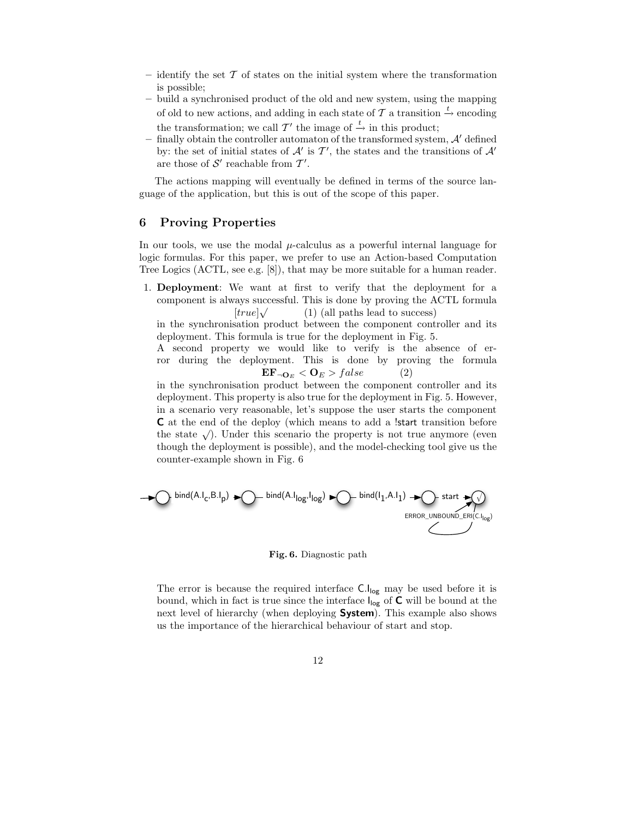- **–** identify the set T of states on the initial system where the transformation is possible;
- **–** build a synchronised product of the old and new system, using the mapping of old to new actions, and adding in each state of  $\mathcal T$  a transition  $\stackrel{t}{\rightarrow}$  encoding the transformation; we call  $\mathcal{T}'$  the image of  $\stackrel{t}{\to}$  in this product;
- $-$  finally obtain the controller automaton of the transformed system,  $A'$  defined by: the set of initial states of  $\mathcal{A}'$  is  $\mathcal{T}'$ , the states and the transitions of  $\mathcal{A}'$ are those of  $\mathcal{S}'$  reachable from  $\mathcal{T}'$ .

The actions mapping will eventually be defined in terms of the source language of the application, but this is out of the scope of this paper.

## **6 Proving Properties**

In our tools, we use the modal  $\mu$ -calculus as a powerful internal language for logic formulas. For this paper, we prefer to use an Action-based Computation Tree Logics (ACTL, see e.g. [8]), that may be more suitable for a human reader.

1. **Deployment**: We want at first to verify that the deployment for a component is always successful. This is done by proving the ACTL formula  $[true] \sqrt{}$ √ (1) (all paths lead to success)

in the synchronisation product between the component controller and its deployment. This formula is true for the deployment in Fig. 5.

A second property we would like to verify is the absence of error during the deployment. This is done by proving the formula  $\mathbf{EF}_{\neg \mathbf{O}_E} < \mathbf{O}_E > false$  (2)

in the synchronisation product between the component controller and its deployment. This property is also true for the deployment in Fig. 5. However, in a scenario very reasonable, let's suppose the user starts the component **C** at the end of the deploy (which means to add a !start transition before the state  $\sqrt{\ }$ ). Under this scenario the property is not true anymore (even though the deployment is possible), and the model-checking tool give us the counter-example shown in Fig. 6

$$
\begin{array}{c}\n\hline\n\end{array}\n\qquad \qquad \text{bind}(A.I_C,B.I_p) \begin{array}{c}\n\hline\n\end{array}\n\qquad\n\begin{array}{c}\n\hline\n\end{array}\n\qquad\n\begin{array}{c}\n\hline\n\end{array}\n\qquad\n\begin{array}{c}\n\hline\n\end{array}\n\qquad\n\begin{array}{c}\n\hline\n\end{array}\n\qquad\n\begin{array}{c}\n\hline\n\end{array}\n\qquad\n\begin{array}{c}\n\hline\n\end{array}\n\qquad\n\begin{array}{c}\n\hline\n\end{array}\n\qquad\n\begin{array}{c}\n\hline\n\end{array}\n\qquad\n\begin{array}{c}\n\hline\n\end{array}\n\qquad\n\begin{array}{c}\n\hline\n\end{array}\n\qquad\n\begin{array}{c}\n\hline\n\end{array}\n\qquad\n\begin{array}{c}\n\hline\n\end{array}\n\qquad\n\begin{array}{c}\n\hline\n\end{array}\n\qquad\n\begin{array}{c}\n\hline\n\end{array}\n\qquad\n\begin{array}{c}\n\hline\n\end{array}\n\qquad\n\begin{array}{c}\n\hline\n\end{array}\n\qquad\n\begin{array}{c}\n\hline\n\end{array}\n\qquad\n\begin{array}{c}\n\hline\n\end{array}\n\qquad\n\begin{array}{c}\n\hline\n\end{array}\n\qquad\n\begin{array}{c}\n\hline\n\end{array}\n\qquad\n\begin{array}{c}\n\hline\n\end{array}\n\qquad\n\begin{array}{c}\n\hline\n\end{array}\n\qquad\n\begin{array}{c}\n\hline\n\end{array}\n\qquad\n\begin{array}{c}\n\hline\n\end{array}\n\qquad\n\begin{array}{c}\n\hline\n\end{array}\n\qquad\n\begin{array}{c}\n\hline\n\end{array}\n\qquad\n\begin{array}{c}\n\hline\n\end{array}\n\qquad\n\begin{array}{c}\n\hline\n\end{array}\n\qquad\n\begin{array}{c}\n\hline\n\end{array}\n\qquad\n\begin{array}{c}\n\hline\n\end{array}\n\qquad\n\begin{array}{c}\n\hline\n\end{array}\n\qquad\n\begin{array}{c}\n\hline\n\end{array}\n\q
$$

**Fig. 6.** Diagnostic path

The error is because the required interface  $\mathsf{C}.\mathsf{I}_{\mathsf{log}}$  may be used before it is bound, which in fact is true since the interface  $I_{\text{log}}$  of **C** will be bound at the next level of hierarchy (when deploying **System**). This example also shows us the importance of the hierarchical behaviour of start and stop.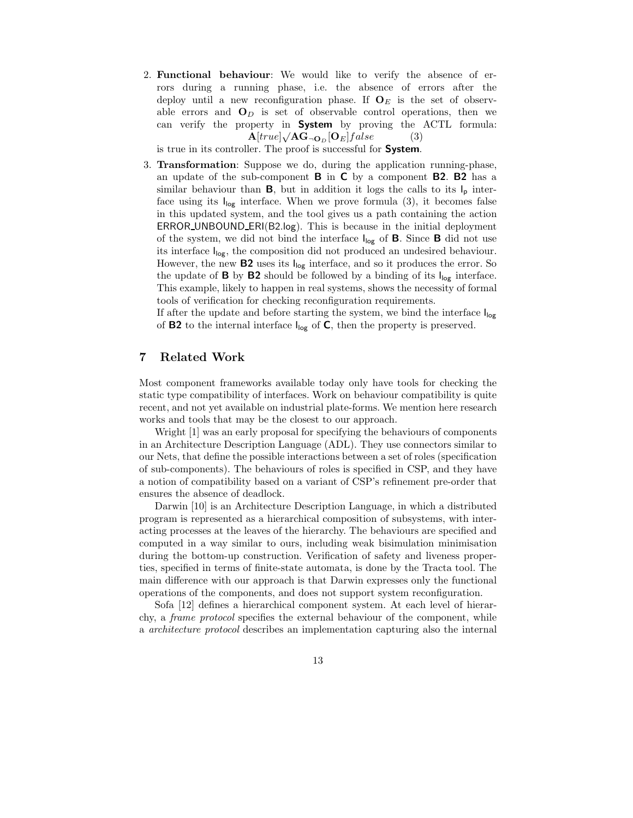2. **Functional behaviour**: We would like to verify the absence of errors during a running phase, i.e. the absence of errors after the deploy until a new reconfiguration phase. If  $O<sub>E</sub>$  is the set of observable errors and  $O_D$  is set of observable control operations, then we can verify the property in **System** by proving the ACTL formula:  $\mathbf{A}[true] \sqrt{\mathbf{A}\mathbf{G}_{\neg \mathbf{O}_D}[\mathbf{O}_E]} false$  (3)

is true in its controller. The proof is successful for **System**.

3. **Transformation**: Suppose we do, during the application running-phase, an update of the sub-component **B** in **C** by a component **B2**. **B2** has a similar behaviour than **B**, but in addition it logs the calls to its  $I_p$  interface using its  $I_{\text{log}}$  interface. When we prove formula (3), it becomes false in this updated system, and the tool gives us a path containing the action ERROR UNBOUND ERI(B2.log). This is because in the initial deployment of the system, we did not bind the interface  $I_{\text{log}}$  of **B**. Since **B** did not use its interface  $I<sub>log</sub>$ , the composition did not produced an undesired behaviour. However, the new  $B2$  uses its  $I<sub>log</sub>$  interface, and so it produces the error. So the update of **B** by **B2** should be followed by a binding of its  $I_{\text{log}}$  interface. This example, likely to happen in real systems, shows the necessity of formal tools of verification for checking reconfiguration requirements.

If after the update and before starting the system, we bind the interface  $I_{\text{log}}$ of **B2** to the internal interface  $I_{\text{log}}$  of **C**, then the property is preserved.

## **7 Related Work**

Most component frameworks available today only have tools for checking the static type compatibility of interfaces. Work on behaviour compatibility is quite recent, and not yet available on industrial plate-forms. We mention here research works and tools that may be the closest to our approach.

Wright [1] was an early proposal for specifying the behaviours of components in an Architecture Description Language (ADL). They use connectors similar to our Nets, that define the possible interactions between a set of roles (specification of sub-components). The behaviours of roles is specified in CSP, and they have a notion of compatibility based on a variant of CSP's refinement pre-order that ensures the absence of deadlock.

Darwin [10] is an Architecture Description Language, in which a distributed program is represented as a hierarchical composition of subsystems, with interacting processes at the leaves of the hierarchy. The behaviours are specified and computed in a way similar to ours, including weak bisimulation minimisation during the bottom-up construction. Verification of safety and liveness properties, specified in terms of finite-state automata, is done by the Tracta tool. The main difference with our approach is that Darwin expresses only the functional operations of the components, and does not support system reconfiguration.

Sofa [12] defines a hierarchical component system. At each level of hierarchy, a *frame protocol* specifies the external behaviour of the component, while a *architecture protocol* describes an implementation capturing also the internal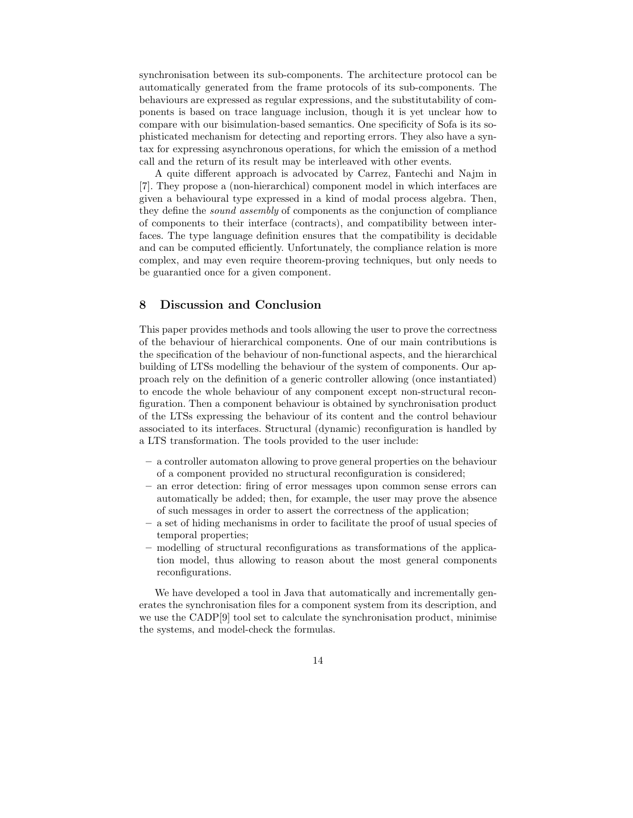synchronisation between its sub-components. The architecture protocol can be automatically generated from the frame protocols of its sub-components. The behaviours are expressed as regular expressions, and the substitutability of components is based on trace language inclusion, though it is yet unclear how to compare with our bisimulation-based semantics. One specificity of Sofa is its sophisticated mechanism for detecting and reporting errors. They also have a syntax for expressing asynchronous operations, for which the emission of a method call and the return of its result may be interleaved with other events.

A quite different approach is advocated by Carrez, Fantechi and Najm in [7]. They propose a (non-hierarchical) component model in which interfaces are given a behavioural type expressed in a kind of modal process algebra. Then, they define the *sound assembly* of components as the conjunction of compliance of components to their interface (contracts), and compatibility between interfaces. The type language definition ensures that the compatibility is decidable and can be computed efficiently. Unfortunately, the compliance relation is more complex, and may even require theorem-proving techniques, but only needs to be guarantied once for a given component.

## **8 Discussion and Conclusion**

This paper provides methods and tools allowing the user to prove the correctness of the behaviour of hierarchical components. One of our main contributions is the specification of the behaviour of non-functional aspects, and the hierarchical building of LTSs modelling the behaviour of the system of components. Our approach rely on the definition of a generic controller allowing (once instantiated) to encode the whole behaviour of any component except non-structural reconfiguration. Then a component behaviour is obtained by synchronisation product of the LTSs expressing the behaviour of its content and the control behaviour associated to its interfaces. Structural (dynamic) reconfiguration is handled by a LTS transformation. The tools provided to the user include:

- **–** a controller automaton allowing to prove general properties on the behaviour of a component provided no structural reconfiguration is considered;
- **–** an error detection: firing of error messages upon common sense errors can automatically be added; then, for example, the user may prove the absence of such messages in order to assert the correctness of the application;
- **–** a set of hiding mechanisms in order to facilitate the proof of usual species of temporal properties;
- **–** modelling of structural reconfigurations as transformations of the application model, thus allowing to reason about the most general components reconfigurations.

We have developed a tool in Java that automatically and incrementally generates the synchronisation files for a component system from its description, and we use the CADP[9] tool set to calculate the synchronisation product, minimise the systems, and model-check the formulas.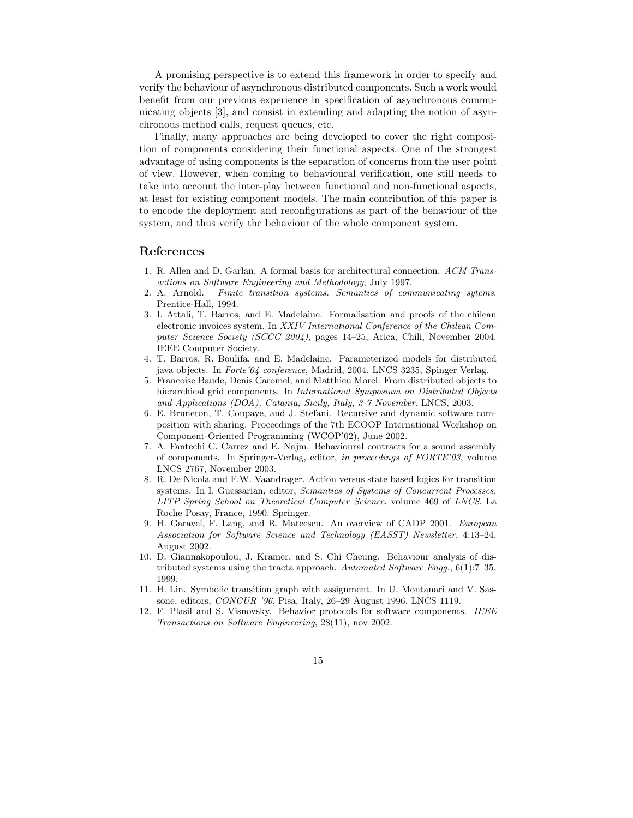A promising perspective is to extend this framework in order to specify and verify the behaviour of asynchronous distributed components. Such a work would benefit from our previous experience in specification of asynchronous communicating objects [3], and consist in extending and adapting the notion of asynchronous method calls, request queues, etc.

Finally, many approaches are being developed to cover the right composition of components considering their functional aspects. One of the strongest advantage of using components is the separation of concerns from the user point of view. However, when coming to behavioural verification, one still needs to take into account the inter-play between functional and non-functional aspects, at least for existing component models. The main contribution of this paper is to encode the deployment and reconfigurations as part of the behaviour of the system, and thus verify the behaviour of the whole component system.

## **References**

- 1. R. Allen and D. Garlan. A formal basis for architectural connection. *ACM Transactions on Software Engineering and Methodology*, July 1997.
- 2. A. Arnold. *Finite transition systems. Semantics of communicating sytems*. Prentice-Hall, 1994.
- 3. I. Attali, T. Barros, and E. Madelaine. Formalisation and proofs of the chilean electronic invoices system. In *XXIV International Conference of the Chilean Computer Science Society (SCCC 2004)*, pages 14–25, Arica, Chili, November 2004. IEEE Computer Society.
- 4. T. Barros, R. Boulifa, and E. Madelaine. Parameterized models for distributed java objects. In *Forte'04 conference*, Madrid, 2004. LNCS 3235, Spinger Verlag.
- 5. Francoise Baude, Denis Caromel, and Matthieu Morel. From distributed objects to hierarchical grid components. In *International Symposium on Distributed Objects and Applications (DOA), Catania, Sicily, Italy, 3-7 November*. LNCS, 2003.
- 6. E. Bruneton, T. Coupaye, and J. Stefani. Recursive and dynamic software composition with sharing. Proceedings of the 7th ECOOP International Workshop on Component-Oriented Programming (WCOP'02), June 2002.
- 7. A. Fantechi C. Carrez and E. Najm. Behavioural contracts for a sound assembly of components. In Springer-Verlag, editor, *in proceedings of FORTE'03*, volume LNCS 2767, November 2003.
- 8. R. De Nicola and F.W. Vaandrager. Action versus state based logics for transition systems. In I. Guessarian, editor, *Semantics of Systems of Concurrent Processes, LITP Spring School on Theoretical Computer Science*, volume 469 of *LNCS*, La Roche Posay, France, 1990. Springer.
- 9. H. Garavel, F. Lang, and R. Mateescu. An overview of CADP 2001. *European Association for Software Science and Technology (EASST) Newsletter*, 4:13–24, August 2002.
- 10. D. Giannakopoulou, J. Kramer, and S. Chi Cheung. Behaviour analysis of distributed systems using the tracta approach. *Automated Software Engg.*, 6(1):7–35, 1999.
- 11. H. Lin. Symbolic transition graph with assignment. In U. Montanari and V. Sassone, editors, *CONCUR '96*, Pisa, Italy, 26–29 August 1996. LNCS 1119.
- 12. F. Plasil and S. Visnovsky. Behavior protocols for software components. *IEEE Transactions on Software Engineering*, 28(11), nov 2002.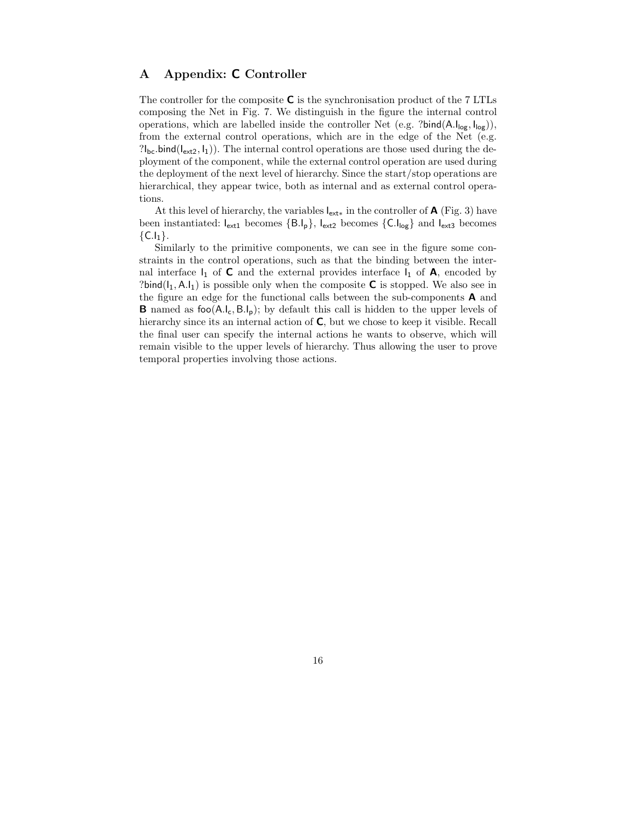## **A Appendix: C Controller**

The controller for the composite **C** is the synchronisation product of the 7 LTLs composing the Net in Fig. 7. We distinguish in the figure the internal control operations, which are labelled inside the controller Net (e.g. ?bind( $A.I<sub>log</sub>, I<sub>log</sub>$ )), from the external control operations, which are in the edge of the Net (e.g.  $?I_{bc}$ bind( $I_{ext2}, I_1$ )). The internal control operations are those used during the deployment of the component, while the external control operation are used during the deployment of the next level of hierarchy. Since the start/stop operations are hierarchical, they appear twice, both as internal and as external control operations.

At this level of hierarchy, the variables  $I_{\text{ext}*}$  in the controller of **A** (Fig. 3) have been instantiated:  $I_{ext1}$  becomes  ${B.I_p}$ ,  $I_{ext2}$  becomes  ${C.I_{log}}$  and  $I_{ext3}$  becomes  ${C.I_1}.$ 

Similarly to the primitive components, we can see in the figure some constraints in the control operations, such as that the binding between the internal interface  $I_1$  of **C** and the external provides interface  $I_1$  of **A**, encoded by ?bind( $I_1$ , A. $I_1$ ) is possible only when the composite **C** is stopped. We also see in the figure an edge for the functional calls between the sub-components **A** and **B** named as  $\text{foo}(A.I_c, B.I_p)$ ; by default this call is hidden to the upper levels of hierarchy since its an internal action of **C**, but we chose to keep it visible. Recall the final user can specify the internal actions he wants to observe, which will remain visible to the upper levels of hierarchy. Thus allowing the user to prove temporal properties involving those actions.